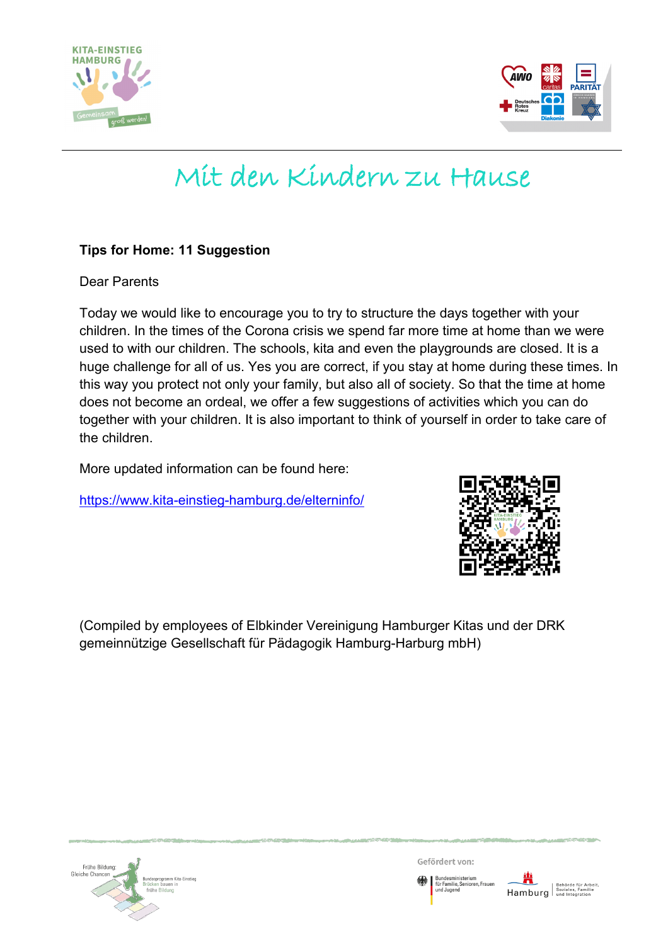



# Mit den Kindern zu Hause

# **Tips for Home: 11 Suggestion**

Dear Parents

Today we would like to encourage you to try to structure the days together with your children. In the times of the Corona crisis we spend far more time at home than we were used to with our children. The schools, kita and even the playgrounds are closed. It is a huge challenge for all of us. Yes you are correct, if you stay at home during these times. In this way you protect not only your family, but also all of society. So that the time at home does not become an ordeal, we offer a few suggestions of activities which you can do together with your children. It is also important to think of yourself in order to take care of the children.

More updated information can be found here:

<https://www.kita-einstieg-hamburg.de/elterninfo/>



(Compiled by employees of Elbkinder Vereinigung Hamburger Kitas und der DRK gemeinnützige Gesellschaft für Pädagogik Hamburg-Harburg mbH)



Gefördert von:

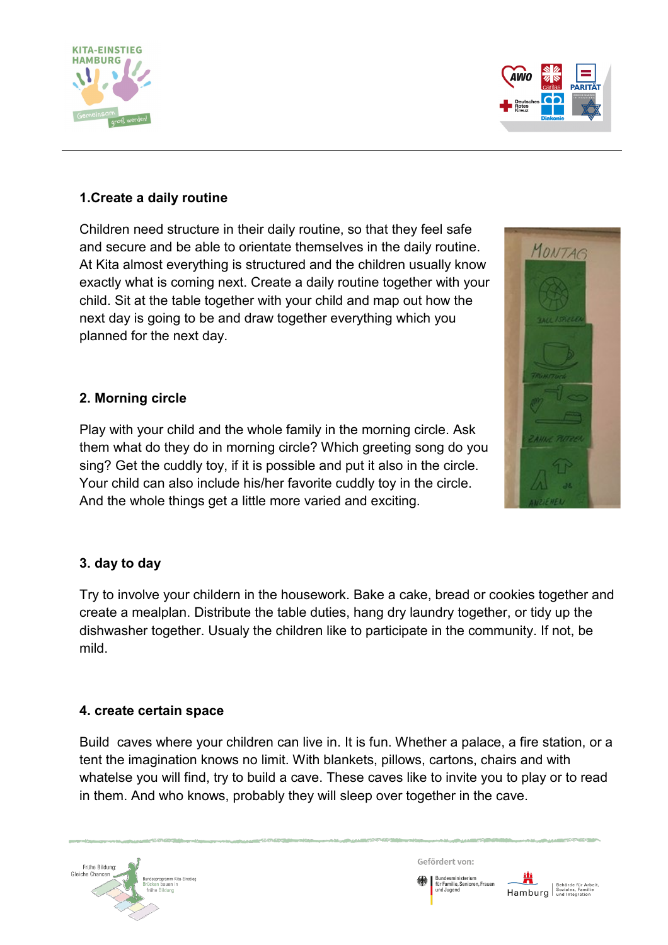



MONTAG

# **1.Create a daily routine**

Children need structure in their daily routine, so that they feel safe and secure and be able to orientate themselves in the daily routine. At Kita almost everything is structured and the children usually know exactly what is coming next. Create a daily routine together with your child. Sit at the table together with your child and map out how the next day is going to be and draw together everything which you planned for the next day.

# **2. Morning circle**

Play with your child and the whole family in the morning circle. Ask them what do they do in morning circle? Which greeting song do you sing? Get the cuddly toy, if it is possible and put it also in the circle. Your child can also include his/her favorite cuddly toy in the circle. And the whole things get a little more varied and exciting.

# **3. day to day**

Try to involve your childern in the housework. Bake a cake, bread or cookies together and create a mealplan. Distribute the table duties, hang dry laundry together, or tidy up the dishwasher together. Usualy the children like to participate in the community. If not, be mild.

#### **4. create certain space**

Build caves where your children can live in. It is fun. Whether a palace, a fire station, or a tent the imagination knows no limit. With blankets, pillows, cartons, chairs and with whatelse you will find, try to build a cave. These caves like to invite you to play or to read in them. And who knows, probably they will sleep over together in the cave.



Gefördert von:

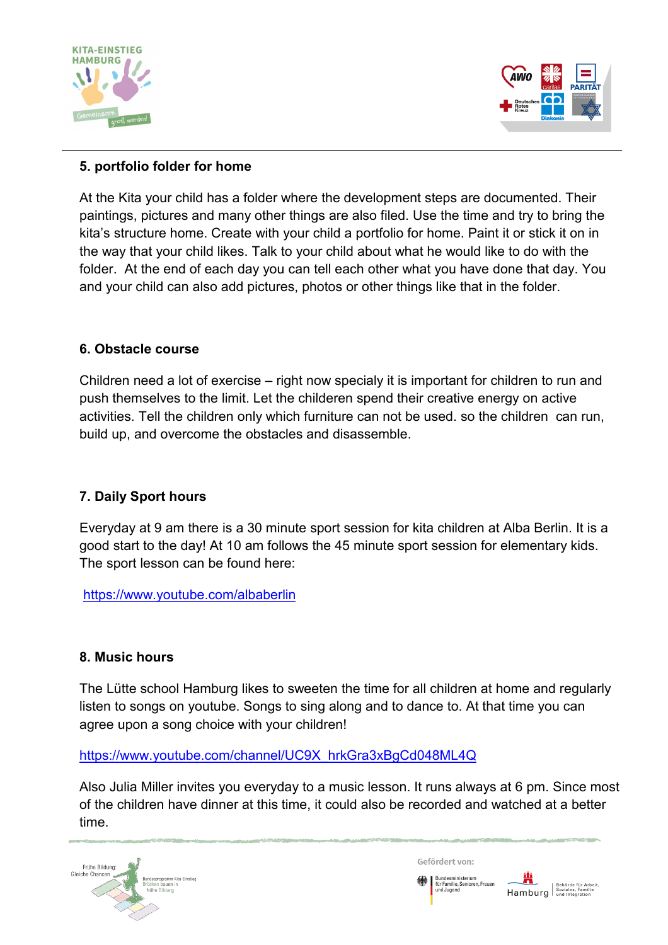



### **5. portfolio folder for home**

At the Kita your child has a folder where the development steps are documented. Their paintings, pictures and many other things are also filed. Use the time and try to bring the kita's structure home. Create with your child a portfolio for home. Paint it or stick it on in the way that your child likes. Talk to your child about what he would like to do with the folder. At the end of each day you can tell each other what you have done that day. You and your child can also add pictures, photos or other things like that in the folder.

#### **6. Obstacle course**

Children need a lot of exercise – right now specialy it is important for children to run and push themselves to the limit. Let the childeren spend their creative energy on active activities. Tell the children only which furniture can not be used. so the children can run, build up, and overcome the obstacles and disassemble.

#### **7. Daily Sport hours**

Everyday at 9 am there is a 30 minute sport session for kita children at Alba Berlin. It is a good start to the day! At 10 am follows the 45 minute sport session for elementary kids. The sport lesson can be found here:

<https://www.youtube.com/albaberlin>

#### **8. Music hours**

The Lütte school Hamburg likes to sweeten the time for all children at home and regularly listen to songs on youtube. Songs to sing along and to dance to. At that time you can agree upon a song choice with your children!

[https://www.youtube.com/channel/UC9X\\_hrkGra3xBgCd048ML4Q](https://www.youtube.com/channel/UC9X_hrkGra3xBgCd048ML4Q)

Also Julia Miller invites you everyday to a music lesson. It runs always at 6 pm. Since most of the children have dinner at this time, it could also be recorded and watched at a better time.



Gefördert von: